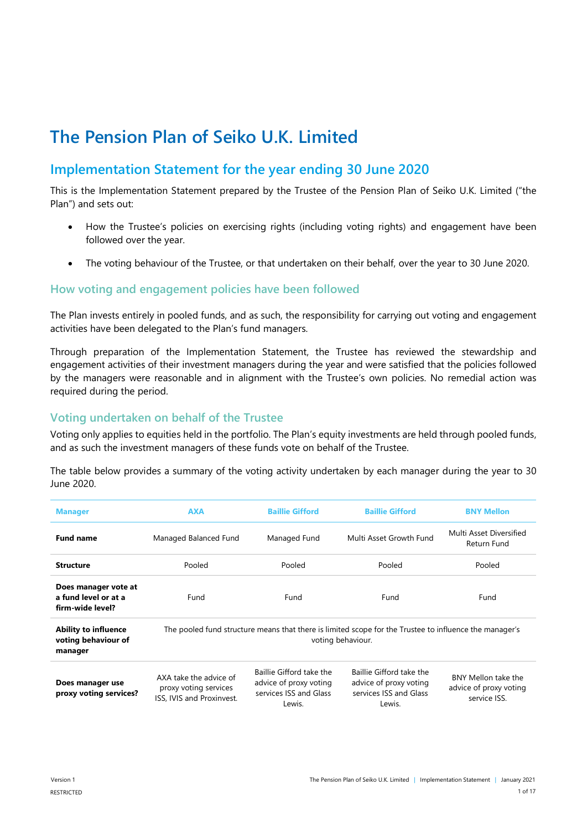# **The Pension Plan of Seiko U.K. Limited**

# **Implementation Statement for the year ending 30 June 2020**

This is the Implementation Statement prepared by the Trustee of the Pension Plan of Seiko U.K. Limited ("the Plan") and sets out:

- How the Trustee's policies on exercising rights (including voting rights) and engagement have been followed over the year.
- The voting behaviour of the Trustee, or that undertaken on their behalf, over the year to 30 June 2020.

## **How voting and engagement policies have been followed**

The Plan invests entirely in pooled funds, and as such, the responsibility for carrying out voting and engagement activities have been delegated to the Plan's fund managers.

Through preparation of the Implementation Statement, the Trustee has reviewed the stewardship and engagement activities of their investment managers during the year and were satisfied that the policies followed by the managers were reasonable and in alignment with the Trustee's own policies. No remedial action was required during the period.

## **Voting undertaken on behalf of the Trustee**

Voting only applies to equities held in the portfolio. The Plan's equity investments are held through pooled funds, and as such the investment managers of these funds vote on behalf of the Trustee.

The table below provides a summary of the voting activity undertaken by each manager during the year to 30 June 2020.

| <b>Manager</b>                                                   | <b>AXA</b>                                                                                                                  | <b>Baillie Gifford</b>                                                                 | <b>Baillie Gifford</b>                                                                 | <b>BNY Mellon</b>                                             |
|------------------------------------------------------------------|-----------------------------------------------------------------------------------------------------------------------------|----------------------------------------------------------------------------------------|----------------------------------------------------------------------------------------|---------------------------------------------------------------|
| <b>Fund name</b>                                                 | Managed Balanced Fund                                                                                                       | Managed Fund                                                                           | Multi Asset Growth Fund                                                                | Multi Asset Diversified<br>Return Fund                        |
| <b>Structure</b>                                                 | Pooled                                                                                                                      | Pooled                                                                                 | Pooled                                                                                 | Pooled                                                        |
| Does manager vote at<br>a fund level or at a<br>firm-wide level? | Fund                                                                                                                        | Fund                                                                                   | Fund                                                                                   | Fund                                                          |
| <b>Ability to influence</b><br>voting behaviour of<br>manager    | The pooled fund structure means that there is limited scope for the Trustee to influence the manager's<br>voting behaviour. |                                                                                        |                                                                                        |                                                               |
| Does manager use<br>proxy voting services?                       | AXA take the advice of<br>proxy voting services<br><b>ISS. IVIS and Proxinvest.</b>                                         | Baillie Gifford take the<br>advice of proxy voting<br>services ISS and Glass<br>Lewis. | Baillie Gifford take the<br>advice of proxy voting<br>services ISS and Glass<br>Lewis. | BNY Mellon take the<br>advice of proxy voting<br>service ISS. |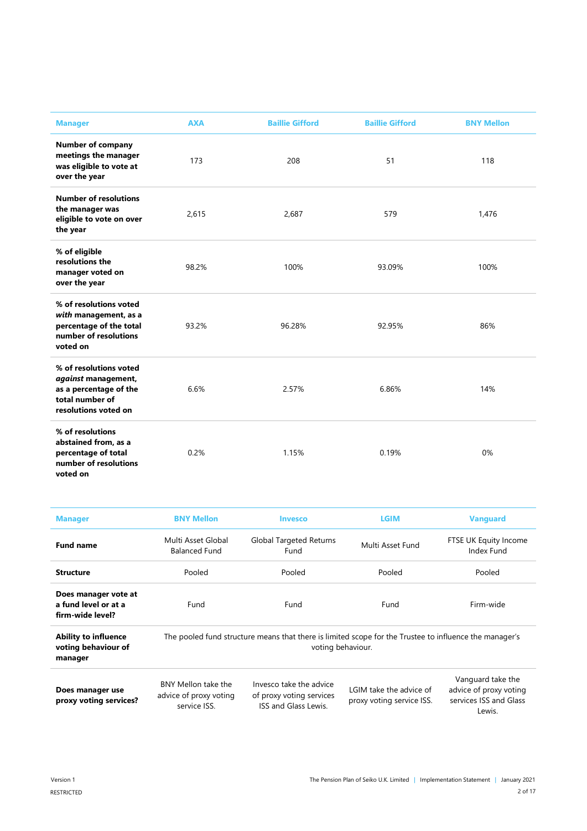| <b>Manager</b>                                                                                                     | <b>AXA</b> | <b>Baillie Gifford</b> | <b>Baillie Gifford</b> | <b>BNY Mellon</b> |
|--------------------------------------------------------------------------------------------------------------------|------------|------------------------|------------------------|-------------------|
| <b>Number of company</b><br>meetings the manager<br>was eligible to vote at<br>over the year                       | 173        | 208                    | 51                     | 118               |
| <b>Number of resolutions</b><br>the manager was<br>eligible to vote on over<br>the year                            | 2,615      | 2,687                  | 579                    | 1,476             |
| % of eligible<br>resolutions the<br>manager voted on<br>over the year                                              | 98.2%      | 100%                   | 93.09%                 | 100%              |
| % of resolutions voted<br>with management, as a<br>percentage of the total<br>number of resolutions<br>voted on    | 93.2%      | 96.28%                 | 92.95%                 | 86%               |
| % of resolutions voted<br>against management,<br>as a percentage of the<br>total number of<br>resolutions voted on | 6.6%       | 2.57%                  | 6.86%                  | 14%               |
| % of resolutions<br>abstained from, as a<br>percentage of total<br>number of resolutions<br>voted on               | 0.2%       | 1.15%                  | 0.19%                  | 0%                |

| <b>Manager</b>                                                   | <b>BNY Mellon</b>                                                                                                           | Invesco                                                                    | LGIM                                                 | <b>Vanguard</b>                                                       |
|------------------------------------------------------------------|-----------------------------------------------------------------------------------------------------------------------------|----------------------------------------------------------------------------|------------------------------------------------------|-----------------------------------------------------------------------|
| <b>Fund name</b>                                                 | Multi Asset Global<br><b>Balanced Fund</b>                                                                                  | Global Targeted Returns<br>Fund                                            | Multi Asset Fund                                     | FTSE UK Equity Income<br>Index Fund                                   |
| <b>Structure</b>                                                 | Pooled                                                                                                                      | Pooled                                                                     | Pooled                                               | Pooled                                                                |
| Does manager vote at<br>a fund level or at a<br>firm-wide level? | Fund                                                                                                                        | Fund                                                                       | Fund                                                 | Firm-wide                                                             |
| <b>Ability to influence</b><br>voting behaviour of<br>manager    | The pooled fund structure means that there is limited scope for the Trustee to influence the manager's<br>voting behaviour. |                                                                            |                                                      |                                                                       |
| Does manager use<br>proxy voting services?                       | BNY Mellon take the<br>advice of proxy voting<br>service ISS                                                                | Invesco take the advice<br>of proxy voting services<br>ISS and Glass Lewis | LGIM take the advice of<br>proxy voting service ISS. | Vanguard take the<br>advice of proxy voting<br>services ISS and Glass |

service ISS. ISS and Glass Lewis. proxy voting service ISS.

services ISS and Glass Lewis.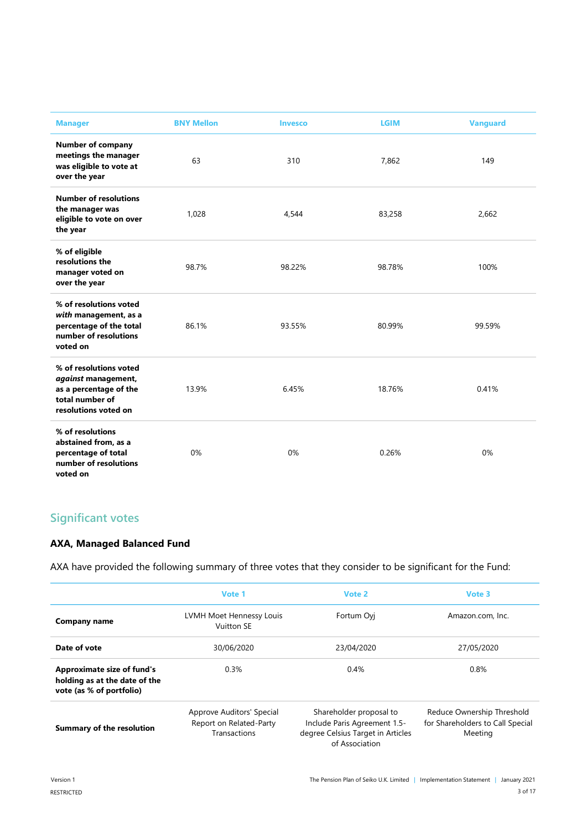| <b>Manager</b>                                                                                                     | <b>BNY Mellon</b> | <b>Invesco</b> | <b>LGIM</b> | <b>Vanguard</b> |
|--------------------------------------------------------------------------------------------------------------------|-------------------|----------------|-------------|-----------------|
| <b>Number of company</b><br>meetings the manager<br>was eligible to vote at<br>over the year                       | 63                | 310            | 7,862       | 149             |
| <b>Number of resolutions</b><br>the manager was<br>eligible to vote on over<br>the year                            | 1,028             | 4,544          | 83,258      | 2,662           |
| % of eligible<br>resolutions the<br>manager voted on<br>over the year                                              | 98.7%             | 98.22%         | 98.78%      | 100%            |
| % of resolutions voted<br>with management, as a<br>percentage of the total<br>number of resolutions<br>voted on    | 86.1%             | 93.55%         | 80.99%      | 99.59%          |
| % of resolutions voted<br>against management,<br>as a percentage of the<br>total number of<br>resolutions voted on | 13.9%             | 6.45%          | 18.76%      | 0.41%           |
| % of resolutions<br>abstained from, as a<br>percentage of total<br>number of resolutions<br>voted on               | 0%                | 0%             | 0.26%       | 0%              |

# **Significant votes**

## **AXA, Managed Balanced Fund**

AXA have provided the following summary of three votes that they consider to be significant for the Fund:

|                                                                                                | Vote 1                                                               | Vote 2                                                                                                         | Vote 3                                                                    |
|------------------------------------------------------------------------------------------------|----------------------------------------------------------------------|----------------------------------------------------------------------------------------------------------------|---------------------------------------------------------------------------|
| Company name                                                                                   | LVMH Moet Hennessy Louis<br>Vuitton SE                               | Fortum Ovi                                                                                                     | Amazon.com, Inc.                                                          |
| Date of vote                                                                                   | 30/06/2020                                                           | 23/04/2020                                                                                                     | 27/05/2020                                                                |
| <b>Approximate size of fund's</b><br>holding as at the date of the<br>vote (as % of portfolio) | 0.3%                                                                 | 0.4%                                                                                                           | 0.8%                                                                      |
| <b>Summary of the resolution</b>                                                               | Approve Auditors' Special<br>Report on Related-Party<br>Transactions | Shareholder proposal to<br>Include Paris Agreement 1.5-<br>degree Celsius Target in Articles<br>of Association | Reduce Ownership Threshold<br>for Shareholders to Call Special<br>Meeting |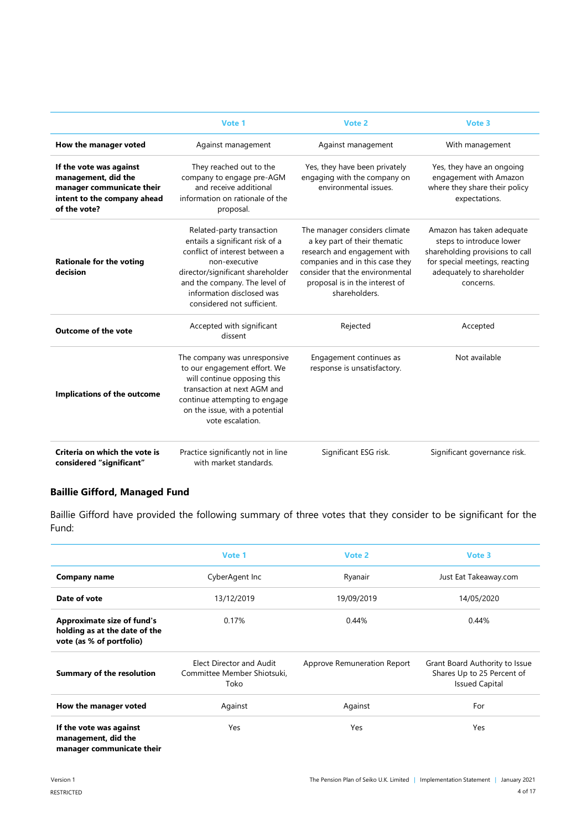|                                                                                                                            | Vote 1                                                                                                                                                                                                                                          | Vote 2                                                                                                                                                                                                                 | Vote 3                                                                                                                                                               |
|----------------------------------------------------------------------------------------------------------------------------|-------------------------------------------------------------------------------------------------------------------------------------------------------------------------------------------------------------------------------------------------|------------------------------------------------------------------------------------------------------------------------------------------------------------------------------------------------------------------------|----------------------------------------------------------------------------------------------------------------------------------------------------------------------|
| How the manager voted                                                                                                      | Against management                                                                                                                                                                                                                              | Against management                                                                                                                                                                                                     | With management                                                                                                                                                      |
| If the vote was against<br>management, did the<br>manager communicate their<br>intent to the company ahead<br>of the vote? | They reached out to the<br>company to engage pre-AGM<br>and receive additional<br>information on rationale of the<br>proposal.                                                                                                                  | Yes, they have been privately<br>engaging with the company on<br>environmental issues                                                                                                                                  | Yes, they have an ongoing<br>engagement with Amazon<br>where they share their policy<br>expectations.                                                                |
| <b>Rationale for the voting</b><br>decision                                                                                | Related-party transaction<br>entails a significant risk of a<br>conflict of interest between a<br>non-executive<br>director/significant shareholder<br>and the company. The level of<br>information disclosed was<br>considered not sufficient. | The manager considers climate<br>a key part of their thematic<br>research and engagement with<br>companies and in this case they<br>consider that the environmental<br>proposal is in the interest of<br>shareholders. | Amazon has taken adequate<br>steps to introduce lower<br>shareholding provisions to call<br>for special meetings, reacting<br>adequately to shareholder<br>concerns. |
| <b>Outcome of the vote</b>                                                                                                 | Accepted with significant<br>dissent                                                                                                                                                                                                            | Rejected                                                                                                                                                                                                               | Accepted                                                                                                                                                             |
| Implications of the outcome                                                                                                | The company was unresponsive<br>to our engagement effort. We<br>will continue opposing this<br>transaction at next AGM and<br>continue attempting to engage<br>on the issue, with a potential<br>vote escalation.                               | Engagement continues as<br>response is unsatisfactory.                                                                                                                                                                 | Not available                                                                                                                                                        |
| Criteria on which the vote is<br>considered "significant"                                                                  | Practice significantly not in line<br>with market standards.                                                                                                                                                                                    | Significant ESG risk.                                                                                                                                                                                                  | Significant governance risk.                                                                                                                                         |

# **Baillie Gifford, Managed Fund**

Baillie Gifford have provided the following summary of three votes that they consider to be significant for the Fund:

|                                                                                                | Vote 1                                                          | Vote 2                      | Vote 3                                                                                |
|------------------------------------------------------------------------------------------------|-----------------------------------------------------------------|-----------------------------|---------------------------------------------------------------------------------------|
| Company name                                                                                   | CyberAgent Inc                                                  | Ryanair                     | Just Eat Takeaway.com                                                                 |
| Date of vote                                                                                   | 13/12/2019                                                      | 19/09/2019                  | 14/05/2020                                                                            |
| <b>Approximate size of fund's</b><br>holding as at the date of the<br>vote (as % of portfolio) | 0.17%                                                           | 0.44%                       | 0.44%                                                                                 |
| <b>Summary of the resolution</b>                                                               | Elect Director and Audit<br>Committee Member Shiotsuki,<br>Toko | Approve Remuneration Report | Grant Board Authority to Issue<br>Shares Up to 25 Percent of<br><b>Issued Capital</b> |
| How the manager voted                                                                          | Against                                                         | Against                     | For                                                                                   |
| If the vote was against<br>management, did the<br>manager communicate their                    | Yes                                                             | Yes                         | Yes                                                                                   |

**manager communicate their**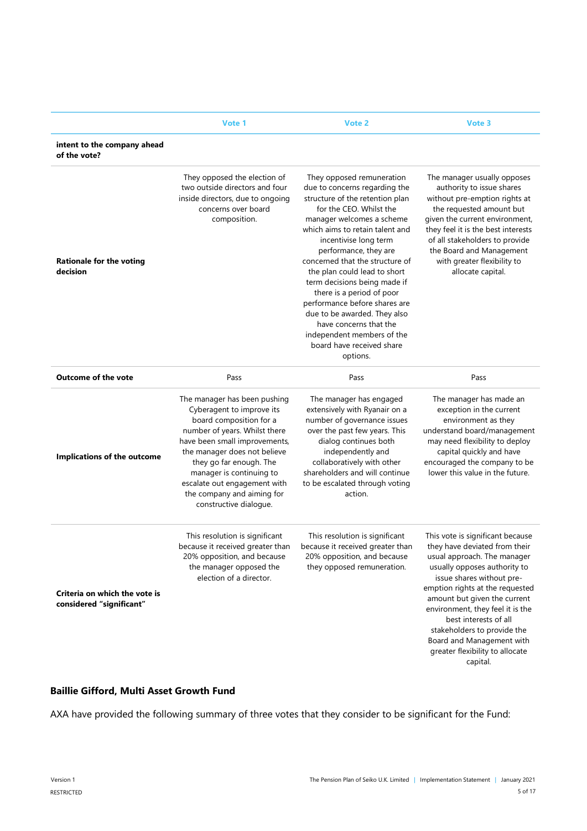|                                                           | Vote 1                                                                                                                                                                                                                                                                                                                                | <b>Vote 2</b>                                                                                                                                                                                                                                                                                                                                                                                                                                                                                                                                | Vote 3                                                                                                                                                                                                                                                                                                                                                                                                   |
|-----------------------------------------------------------|---------------------------------------------------------------------------------------------------------------------------------------------------------------------------------------------------------------------------------------------------------------------------------------------------------------------------------------|----------------------------------------------------------------------------------------------------------------------------------------------------------------------------------------------------------------------------------------------------------------------------------------------------------------------------------------------------------------------------------------------------------------------------------------------------------------------------------------------------------------------------------------------|----------------------------------------------------------------------------------------------------------------------------------------------------------------------------------------------------------------------------------------------------------------------------------------------------------------------------------------------------------------------------------------------------------|
| intent to the company ahead<br>of the vote?               |                                                                                                                                                                                                                                                                                                                                       |                                                                                                                                                                                                                                                                                                                                                                                                                                                                                                                                              |                                                                                                                                                                                                                                                                                                                                                                                                          |
| <b>Rationale for the voting</b><br>decision               | They opposed the election of<br>two outside directors and four<br>inside directors, due to ongoing<br>concerns over board<br>composition.                                                                                                                                                                                             | They opposed remuneration<br>due to concerns regarding the<br>structure of the retention plan<br>for the CEO. Whilst the<br>manager welcomes a scheme<br>which aims to retain talent and<br>incentivise long term<br>performance, they are<br>concerned that the structure of<br>the plan could lead to short<br>term decisions being made if<br>there is a period of poor<br>performance before shares are<br>due to be awarded. They also<br>have concerns that the<br>independent members of the<br>board have received share<br>options. | The manager usually opposes<br>authority to issue shares<br>without pre-emption rights at<br>the requested amount but<br>given the current environment,<br>they feel it is the best interests<br>of all stakeholders to provide<br>the Board and Management<br>with greater flexibility to<br>allocate capital.                                                                                          |
| <b>Outcome of the vote</b>                                | Pass                                                                                                                                                                                                                                                                                                                                  | Pass                                                                                                                                                                                                                                                                                                                                                                                                                                                                                                                                         | Pass                                                                                                                                                                                                                                                                                                                                                                                                     |
| <b>Implications of the outcome</b>                        | The manager has been pushing<br>Cyberagent to improve its<br>board composition for a<br>number of years. Whilst there<br>have been small improvements,<br>the manager does not believe<br>they go far enough. The<br>manager is continuing to<br>escalate out engagement with<br>the company and aiming for<br>constructive dialoque. | The manager has engaged<br>extensively with Ryanair on a<br>number of governance issues<br>over the past few years. This<br>dialog continues both<br>independently and<br>collaboratively with other<br>shareholders and will continue<br>to be escalated through voting<br>action.                                                                                                                                                                                                                                                          | The manager has made an<br>exception in the current<br>environment as they<br>understand board/management<br>may need flexibility to deploy<br>capital quickly and have<br>encouraged the company to be<br>lower this value in the future.                                                                                                                                                               |
| Criteria on which the vote is<br>considered "significant" | This resolution is significant<br>because it received greater than<br>20% opposition, and because<br>the manager opposed the<br>election of a director.                                                                                                                                                                               | This resolution is significant<br>because it received greater than<br>20% opposition, and because<br>they opposed remuneration.                                                                                                                                                                                                                                                                                                                                                                                                              | This vote is significant because<br>they have deviated from their<br>usual approach. The manager<br>usually opposes authority to<br>issue shares without pre-<br>emption rights at the requested<br>amount but given the current<br>environment, they feel it is the<br>best interests of all<br>stakeholders to provide the<br>Board and Management with<br>greater flexibility to allocate<br>capital. |

## **Baillie Gifford, Multi Asset Growth Fund**

AXA have provided the following summary of three votes that they consider to be significant for the Fund: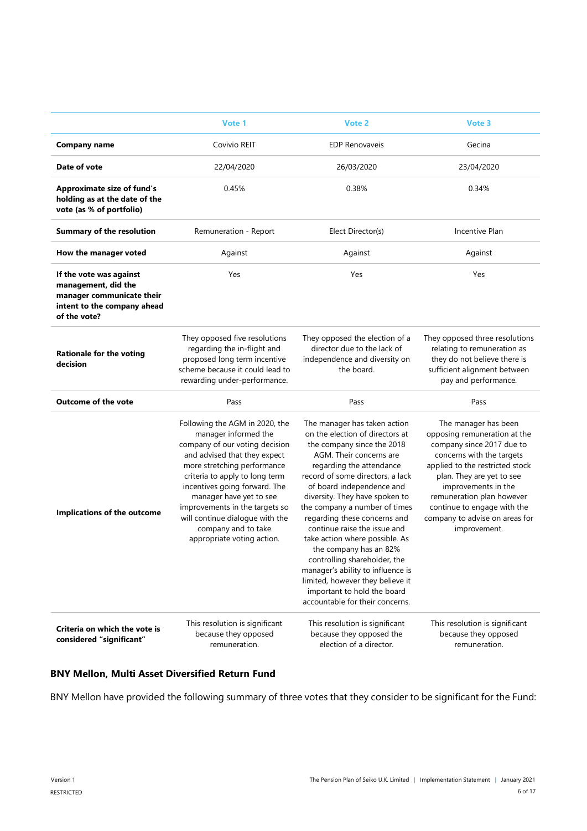|                                                                                                                            | Vote 1                                                                                                                                                                                                                                                                                                                                                                          | Vote 2                                                                                                                                                                                                                                                                                                                                                                                                                                                                                                                                                                                          | Vote 3                                                                                                                                                                                                                                                                                                              |
|----------------------------------------------------------------------------------------------------------------------------|---------------------------------------------------------------------------------------------------------------------------------------------------------------------------------------------------------------------------------------------------------------------------------------------------------------------------------------------------------------------------------|-------------------------------------------------------------------------------------------------------------------------------------------------------------------------------------------------------------------------------------------------------------------------------------------------------------------------------------------------------------------------------------------------------------------------------------------------------------------------------------------------------------------------------------------------------------------------------------------------|---------------------------------------------------------------------------------------------------------------------------------------------------------------------------------------------------------------------------------------------------------------------------------------------------------------------|
| <b>Company name</b>                                                                                                        | Covivio REIT                                                                                                                                                                                                                                                                                                                                                                    | <b>EDP Renovaveis</b>                                                                                                                                                                                                                                                                                                                                                                                                                                                                                                                                                                           | Gecina                                                                                                                                                                                                                                                                                                              |
| Date of vote                                                                                                               | 22/04/2020                                                                                                                                                                                                                                                                                                                                                                      | 26/03/2020                                                                                                                                                                                                                                                                                                                                                                                                                                                                                                                                                                                      | 23/04/2020                                                                                                                                                                                                                                                                                                          |
| <b>Approximate size of fund's</b><br>holding as at the date of the<br>vote (as % of portfolio)                             | 0.45%                                                                                                                                                                                                                                                                                                                                                                           | 0.38%                                                                                                                                                                                                                                                                                                                                                                                                                                                                                                                                                                                           | 0.34%                                                                                                                                                                                                                                                                                                               |
| <b>Summary of the resolution</b>                                                                                           | Remuneration - Report                                                                                                                                                                                                                                                                                                                                                           | Elect Director(s)                                                                                                                                                                                                                                                                                                                                                                                                                                                                                                                                                                               | Incentive Plan                                                                                                                                                                                                                                                                                                      |
| How the manager voted                                                                                                      | Against                                                                                                                                                                                                                                                                                                                                                                         | Against                                                                                                                                                                                                                                                                                                                                                                                                                                                                                                                                                                                         | Against                                                                                                                                                                                                                                                                                                             |
| If the vote was against<br>management, did the<br>manager communicate their<br>intent to the company ahead<br>of the vote? | Yes                                                                                                                                                                                                                                                                                                                                                                             | Yes                                                                                                                                                                                                                                                                                                                                                                                                                                                                                                                                                                                             | Yes                                                                                                                                                                                                                                                                                                                 |
| <b>Rationale for the voting</b><br>decision                                                                                | They opposed five resolutions<br>regarding the in-flight and<br>proposed long term incentive<br>scheme because it could lead to<br>rewarding under-performance.                                                                                                                                                                                                                 | They opposed the election of a<br>director due to the lack of<br>independence and diversity on<br>the board.                                                                                                                                                                                                                                                                                                                                                                                                                                                                                    | They opposed three resolutions<br>relating to remuneration as<br>they do not believe there is<br>sufficient alignment between<br>pay and performance.                                                                                                                                                               |
| Outcome of the vote                                                                                                        | Pass                                                                                                                                                                                                                                                                                                                                                                            | Pass                                                                                                                                                                                                                                                                                                                                                                                                                                                                                                                                                                                            | Pass                                                                                                                                                                                                                                                                                                                |
| Implications of the outcome                                                                                                | Following the AGM in 2020, the<br>manager informed the<br>company of our voting decision<br>and advised that they expect<br>more stretching performance<br>criteria to apply to long term<br>incentives going forward. The<br>manager have yet to see<br>improvements in the targets so<br>will continue dialogue with the<br>company and to take<br>appropriate voting action. | The manager has taken action<br>on the election of directors at<br>the company since the 2018<br>AGM. Their concerns are<br>regarding the attendance<br>record of some directors, a lack<br>of board independence and<br>diversity. They have spoken to<br>the company a number of times<br>regarding these concerns and<br>continue raise the issue and<br>take action where possible. As<br>the company has an 82%<br>controlling shareholder, the<br>manager's ability to influence is<br>limited, however they believe it<br>important to hold the board<br>accountable for their concerns. | The manager has been<br>opposing remuneration at the<br>company since 2017 due to<br>concerns with the targets<br>applied to the restricted stock<br>plan. They are yet to see<br>improvements in the<br>remuneration plan however<br>continue to engage with the<br>company to advise on areas for<br>improvement. |
| Criteria on which the vote is<br>considered "significant"                                                                  | This resolution is significant<br>because they opposed<br>remuneration.                                                                                                                                                                                                                                                                                                         | This resolution is significant<br>because they opposed the<br>election of a director.                                                                                                                                                                                                                                                                                                                                                                                                                                                                                                           | This resolution is significant<br>because they opposed<br>remuneration.                                                                                                                                                                                                                                             |

#### **BNY Mellon, Multi Asset Diversified Return Fund**

BNY Mellon have provided the following summary of three votes that they consider to be significant for the Fund: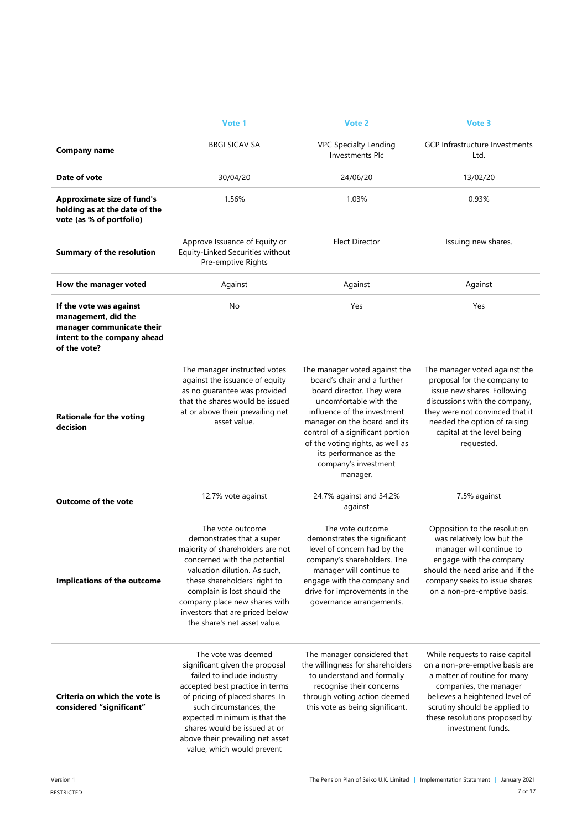|                                                                                                                            | Vote 1                                                                                                                                                                                                                                                                                                                 | Vote 2                                                                                                                                                                                                                                                                                                                   | Vote 3                                                                                                                                                                                                                                               |
|----------------------------------------------------------------------------------------------------------------------------|------------------------------------------------------------------------------------------------------------------------------------------------------------------------------------------------------------------------------------------------------------------------------------------------------------------------|--------------------------------------------------------------------------------------------------------------------------------------------------------------------------------------------------------------------------------------------------------------------------------------------------------------------------|------------------------------------------------------------------------------------------------------------------------------------------------------------------------------------------------------------------------------------------------------|
| <b>Company name</b>                                                                                                        | <b>BBGI SICAV SA</b>                                                                                                                                                                                                                                                                                                   | <b>VPC Specialty Lending</b><br><b>Investments Plc</b>                                                                                                                                                                                                                                                                   | GCP Infrastructure Investments<br>Ltd.                                                                                                                                                                                                               |
| Date of vote                                                                                                               | 30/04/20                                                                                                                                                                                                                                                                                                               | 24/06/20                                                                                                                                                                                                                                                                                                                 | 13/02/20                                                                                                                                                                                                                                             |
| <b>Approximate size of fund's</b><br>holding as at the date of the<br>vote (as % of portfolio)                             | 1.56%                                                                                                                                                                                                                                                                                                                  | 1.03%                                                                                                                                                                                                                                                                                                                    | 0.93%                                                                                                                                                                                                                                                |
| <b>Summary of the resolution</b>                                                                                           | Approve Issuance of Equity or<br>Equity-Linked Securities without<br>Pre-emptive Rights                                                                                                                                                                                                                                | <b>Elect Director</b>                                                                                                                                                                                                                                                                                                    | Issuing new shares.                                                                                                                                                                                                                                  |
| How the manager voted                                                                                                      | Against                                                                                                                                                                                                                                                                                                                | Against                                                                                                                                                                                                                                                                                                                  | Against                                                                                                                                                                                                                                              |
| If the vote was against<br>management, did the<br>manager communicate their<br>intent to the company ahead<br>of the vote? | No                                                                                                                                                                                                                                                                                                                     | Yes                                                                                                                                                                                                                                                                                                                      | Yes                                                                                                                                                                                                                                                  |
| <b>Rationale for the voting</b><br>decision                                                                                | The manager instructed votes<br>against the issuance of equity<br>as no quarantee was provided<br>that the shares would be issued<br>at or above their prevailing net<br>asset value.                                                                                                                                  | The manager voted against the<br>board's chair and a further<br>board director. They were<br>uncomfortable with the<br>influence of the investment<br>manager on the board and its<br>control of a significant portion<br>of the voting rights, as well as<br>its performance as the<br>company's investment<br>manager. | The manager voted against the<br>proposal for the company to<br>issue new shares. Following<br>discussions with the company,<br>they were not convinced that it<br>needed the option of raising<br>capital at the level being<br>requested.          |
| <b>Outcome of the vote</b>                                                                                                 | 12.7% vote against                                                                                                                                                                                                                                                                                                     | 24.7% against and 34.2%<br>against                                                                                                                                                                                                                                                                                       | 7.5% against                                                                                                                                                                                                                                         |
| <b>Implications of the outcome</b>                                                                                         | The vote outcome<br>demonstrates that a super<br>majority of shareholders are not<br>concerned with the potential<br>valuation dilution. As such,<br>these shareholders' right to<br>complain is lost should the<br>company place new shares with<br>investors that are priced below<br>the share's net asset value.   | The vote outcome<br>demonstrates the significant<br>level of concern had by the<br>company's shareholders. The<br>manager will continue to<br>engage with the company and<br>drive for improvements in the<br>governance arrangements.                                                                                   | Opposition to the resolution<br>was relatively low but the<br>manager will continue to<br>engage with the company<br>should the need arise and if the<br>company seeks to issue shares<br>on a non-pre-emptive basis.                                |
| Criteria on which the vote is<br>considered "significant"                                                                  | The vote was deemed<br>significant given the proposal<br>failed to include industry<br>accepted best practice in terms<br>of pricing of placed shares. In<br>such circumstances, the<br>expected minimum is that the<br>shares would be issued at or<br>above their prevailing net asset<br>value, which would prevent | The manager considered that<br>the willingness for shareholders<br>to understand and formally<br>recognise their concerns<br>through voting action deemed<br>this vote as being significant.                                                                                                                             | While requests to raise capital<br>on a non-pre-emptive basis are<br>a matter of routine for many<br>companies, the manager<br>believes a heightened level of<br>scrutiny should be applied to<br>these resolutions proposed by<br>investment funds. |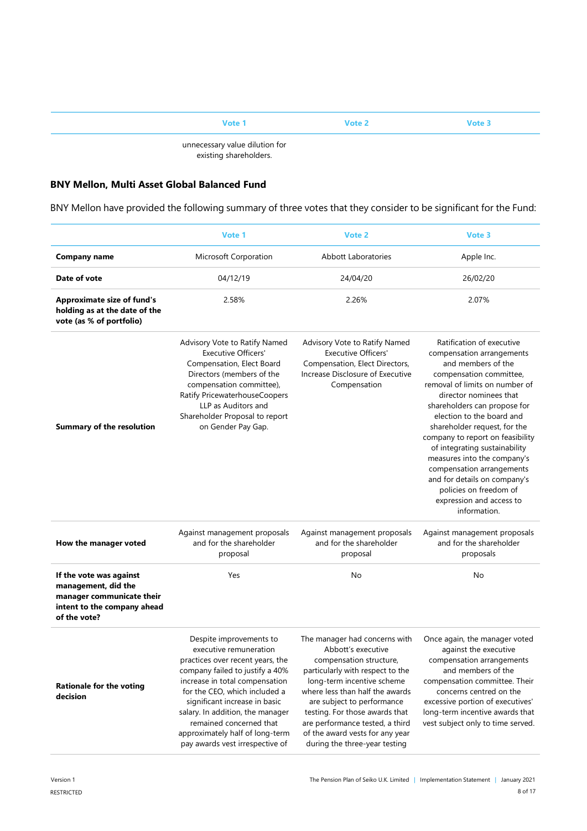# **Vote 1 Vote 2 Vote 3** unnecessary value dilution for

existing shareholders.

# **BNY Mellon, Multi Asset Global Balanced Fund**

BNY Mellon have provided the following summary of three votes that they consider to be significant for the Fund:

|                                                                                                                            | Vote 1                                                                                                                                                                                                                                                                                                                                                            | Vote 2                                                                                                                                                                                                                                                                                                                                                     | Vote 3                                                                                                                                                                                                                                                                                                                                                                                                                                                                                                  |
|----------------------------------------------------------------------------------------------------------------------------|-------------------------------------------------------------------------------------------------------------------------------------------------------------------------------------------------------------------------------------------------------------------------------------------------------------------------------------------------------------------|------------------------------------------------------------------------------------------------------------------------------------------------------------------------------------------------------------------------------------------------------------------------------------------------------------------------------------------------------------|---------------------------------------------------------------------------------------------------------------------------------------------------------------------------------------------------------------------------------------------------------------------------------------------------------------------------------------------------------------------------------------------------------------------------------------------------------------------------------------------------------|
| <b>Company name</b>                                                                                                        | Microsoft Corporation                                                                                                                                                                                                                                                                                                                                             | <b>Abbott Laboratories</b>                                                                                                                                                                                                                                                                                                                                 | Apple Inc.                                                                                                                                                                                                                                                                                                                                                                                                                                                                                              |
| Date of vote                                                                                                               | 04/12/19                                                                                                                                                                                                                                                                                                                                                          | 24/04/20                                                                                                                                                                                                                                                                                                                                                   | 26/02/20                                                                                                                                                                                                                                                                                                                                                                                                                                                                                                |
| <b>Approximate size of fund's</b><br>holding as at the date of the<br>vote (as % of portfolio)                             | 2.58%                                                                                                                                                                                                                                                                                                                                                             | 2.26%                                                                                                                                                                                                                                                                                                                                                      | 2.07%                                                                                                                                                                                                                                                                                                                                                                                                                                                                                                   |
| <b>Summary of the resolution</b>                                                                                           | Advisory Vote to Ratify Named<br><b>Executive Officers'</b><br>Compensation, Elect Board<br>Directors (members of the<br>compensation committee),<br>Ratify PricewaterhouseCoopers<br>LLP as Auditors and<br>Shareholder Proposal to report<br>on Gender Pay Gap.                                                                                                 | Advisory Vote to Ratify Named<br><b>Executive Officers'</b><br>Compensation, Elect Directors,<br>Increase Disclosure of Executive<br>Compensation                                                                                                                                                                                                          | Ratification of executive<br>compensation arrangements<br>and members of the<br>compensation committee,<br>removal of limits on number of<br>director nominees that<br>shareholders can propose for<br>election to the board and<br>shareholder request, for the<br>company to report on feasibility<br>of integrating sustainability<br>measures into the company's<br>compensation arrangements<br>and for details on company's<br>policies on freedom of<br>expression and access to<br>information. |
| How the manager voted                                                                                                      | Against management proposals<br>and for the shareholder<br>proposal                                                                                                                                                                                                                                                                                               | Against management proposals<br>and for the shareholder<br>proposal                                                                                                                                                                                                                                                                                        | Against management proposals<br>and for the shareholder<br>proposals                                                                                                                                                                                                                                                                                                                                                                                                                                    |
| If the vote was against<br>management, did the<br>manager communicate their<br>intent to the company ahead<br>of the vote? | Yes                                                                                                                                                                                                                                                                                                                                                               | No                                                                                                                                                                                                                                                                                                                                                         | No                                                                                                                                                                                                                                                                                                                                                                                                                                                                                                      |
| <b>Rationale for the voting</b><br>decision                                                                                | Despite improvements to<br>executive remuneration<br>practices over recent years, the<br>company failed to justify a 40%<br>increase in total compensation<br>for the CEO, which included a<br>significant increase in basic<br>salary. In addition, the manager<br>remained concerned that<br>approximately half of long-term<br>pay awards vest irrespective of | The manager had concerns with<br>Abbott's executive<br>compensation structure,<br>particularly with respect to the<br>long-term incentive scheme<br>where less than half the awards<br>are subject to performance<br>testing. For those awards that<br>are performance tested, a third<br>of the award vests for any year<br>during the three-year testing | Once again, the manager voted<br>against the executive<br>compensation arrangements<br>and members of the<br>compensation committee. Their<br>concerns centred on the<br>excessive portion of executives'<br>long-term incentive awards that<br>vest subject only to time served.                                                                                                                                                                                                                       |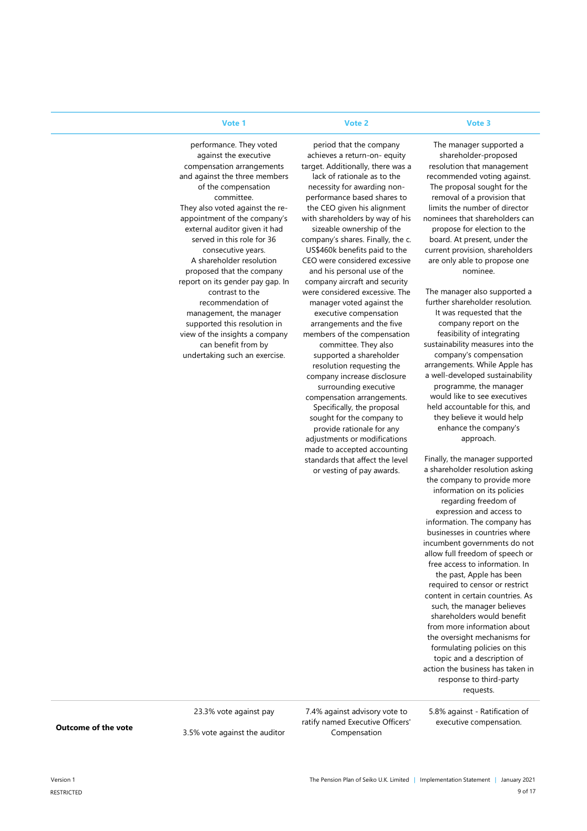#### **Vote 1 Vote 2 Vote 3**

period that the company achieves a return-on- equity target. Additionally, there was a lack of rationale as to the necessity for awarding nonperformance based shares to the CEO given his alignment with shareholders by way of his sizeable ownership of the company's shares. Finally, the c. US\$460k benefits paid to the CEO were considered excessive and his personal use of the company aircraft and security were considered excessive. The manager voted against the executive compensation arrangements and the five members of the compensation committee. They also supported a shareholder resolution requesting the company increase disclosure surrounding executive compensation arrangements. Specifically, the proposal sought for the company to provide rationale for any adjustments or modifications made to accepted accounting standards that affect the level or vesting of pay awards.

The manager supported a shareholder-proposed resolution that management recommended voting against. The proposal sought for the removal of a provision that limits the number of director nominees that shareholders can propose for election to the board. At present, under the current provision, shareholders are only able to propose one nominee.

The manager also supported a further shareholder resolution. It was requested that the company report on the feasibility of integrating sustainability measures into the company's compensation arrangements. While Apple has a well-developed sustainability programme, the manager would like to see executives held accountable for this, and they believe it would help enhance the company's approach.

Finally, the manager supported a shareholder resolution asking the company to provide more information on its policies regarding freedom of expression and access to information. The company has businesses in countries where incumbent governments do not allow full freedom of speech or free access to information. In the past, Apple has been required to censor or restrict content in certain countries. As such, the manager believes shareholders would benefit from more information about the oversight mechanisms for formulating policies on this topic and a description of action the business has taken in response to third-party requests.

performance. They voted against the executive compensation arrangements and against the three members of the compensation committee. They also voted against the reappointment of the company's external auditor given it had served in this role for 36 consecutive years. A shareholder resolution proposed that the company report on its gender pay gap. In contrast to the recommendation of management, the manager supported this resolution in view of the insights a company can benefit from by undertaking such an exercise.

**Outcome of the vote**

23.3% vote against pay

3.5% vote against the auditor

7.4% against advisory vote to ratify named Executive Officers' Compensation

5.8% against - Ratification of executive compensation.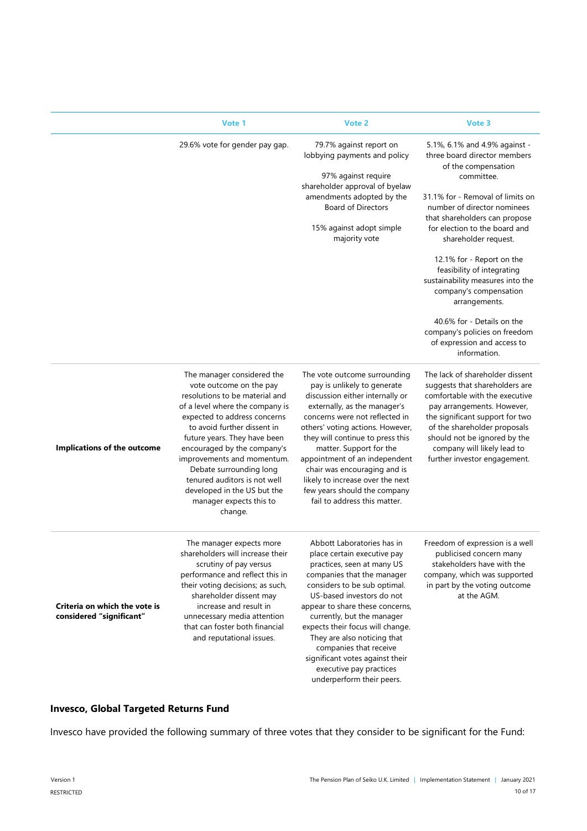|                                                           | Vote 1                                                                                                                                                                                                                                                                                                                                                                                                                 | Vote 2                                                                                                                                                                                                                                                                                                                                                                                                                                   | Vote 3                                                                                                                                                                                                                                                                                              |
|-----------------------------------------------------------|------------------------------------------------------------------------------------------------------------------------------------------------------------------------------------------------------------------------------------------------------------------------------------------------------------------------------------------------------------------------------------------------------------------------|------------------------------------------------------------------------------------------------------------------------------------------------------------------------------------------------------------------------------------------------------------------------------------------------------------------------------------------------------------------------------------------------------------------------------------------|-----------------------------------------------------------------------------------------------------------------------------------------------------------------------------------------------------------------------------------------------------------------------------------------------------|
|                                                           | 29.6% vote for gender pay gap.                                                                                                                                                                                                                                                                                                                                                                                         | 79.7% against report on<br>lobbying payments and policy<br>97% against require<br>shareholder approval of byelaw                                                                                                                                                                                                                                                                                                                         | 5.1%, 6.1% and 4.9% against -<br>three board director members<br>of the compensation<br>committee.                                                                                                                                                                                                  |
|                                                           |                                                                                                                                                                                                                                                                                                                                                                                                                        | amendments adopted by the<br><b>Board of Directors</b><br>15% against adopt simple<br>majority vote                                                                                                                                                                                                                                                                                                                                      | 31.1% for - Removal of limits on<br>number of director nominees<br>that shareholders can propose<br>for election to the board and<br>shareholder request.                                                                                                                                           |
|                                                           |                                                                                                                                                                                                                                                                                                                                                                                                                        |                                                                                                                                                                                                                                                                                                                                                                                                                                          | 12.1% for - Report on the<br>feasibility of integrating<br>sustainability measures into the<br>company's compensation<br>arrangements.                                                                                                                                                              |
|                                                           |                                                                                                                                                                                                                                                                                                                                                                                                                        |                                                                                                                                                                                                                                                                                                                                                                                                                                          | 40.6% for - Details on the<br>company's policies on freedom<br>of expression and access to<br>information.                                                                                                                                                                                          |
| Implications of the outcome                               | The manager considered the<br>vote outcome on the pay<br>resolutions to be material and<br>of a level where the company is<br>expected to address concerns<br>to avoid further dissent in<br>future years. They have been<br>encouraged by the company's<br>improvements and momentum.<br>Debate surrounding long<br>tenured auditors is not well<br>developed in the US but the<br>manager expects this to<br>change. | The vote outcome surrounding<br>pay is unlikely to generate<br>discussion either internally or<br>externally, as the manager's<br>concerns were not reflected in<br>others' voting actions. However,<br>they will continue to press this<br>matter. Support for the<br>appointment of an independent<br>chair was encouraging and is<br>likely to increase over the next<br>few years should the company<br>fail to address this matter. | The lack of shareholder dissent<br>suggests that shareholders are<br>comfortable with the executive<br>pay arrangements. However,<br>the significant support for two<br>of the shareholder proposals<br>should not be ignored by the<br>company will likely lead to<br>further investor engagement. |
| Criteria on which the vote is<br>considered "significant" | The manager expects more<br>shareholders will increase their<br>scrutiny of pay versus<br>performance and reflect this in<br>their voting decisions; as such,<br>shareholder dissent may<br>increase and result in<br>unnecessary media attention<br>that can foster both financial<br>and reputational issues.                                                                                                        | Abbott Laboratories has in<br>place certain executive pay<br>practices, seen at many US<br>companies that the manager<br>considers to be sub optimal.<br>US-based investors do not<br>appear to share these concerns,<br>currently, but the manager<br>expects their focus will change.<br>They are also noticing that<br>companies that receive<br>significant votes against their<br>executive pay practices                           | Freedom of expression is a well<br>publicised concern many<br>stakeholders have with the<br>company, which was supported<br>in part by the voting outcome<br>at the AGM.                                                                                                                            |

## **Invesco, Global Targeted Returns Fund**

Invesco have provided the following summary of three votes that they consider to be significant for the Fund:

underperform their peers.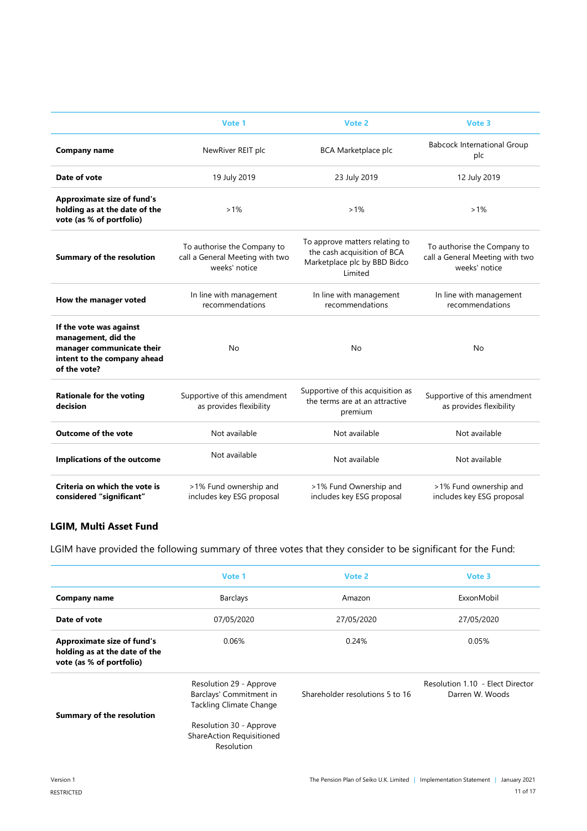|                                                                                                                            | Vote 1                                                                          | Vote 2                                                                                                   | Vote 3                                                                          |
|----------------------------------------------------------------------------------------------------------------------------|---------------------------------------------------------------------------------|----------------------------------------------------------------------------------------------------------|---------------------------------------------------------------------------------|
| Company name                                                                                                               | NewRiver REIT plc                                                               | <b>BCA Marketplace plc</b>                                                                               | <b>Babcock International Group</b><br>plc                                       |
| Date of vote                                                                                                               | 19 July 2019                                                                    | 23 July 2019                                                                                             | 12 July 2019                                                                    |
| <b>Approximate size of fund's</b><br>holding as at the date of the<br>vote (as % of portfolio)                             | $>1\%$                                                                          | $>1\%$                                                                                                   | $>1\%$                                                                          |
| <b>Summary of the resolution</b>                                                                                           | To authorise the Company to<br>call a General Meeting with two<br>weeks' notice | To approve matters relating to<br>the cash acquisition of BCA<br>Marketplace plc by BBD Bidco<br>Limited | To authorise the Company to<br>call a General Meeting with two<br>weeks' notice |
| How the manager voted                                                                                                      | In line with management<br>recommendations                                      | In line with management<br>recommendations                                                               | In line with management<br>recommendations                                      |
| If the vote was against<br>management, did the<br>manager communicate their<br>intent to the company ahead<br>of the vote? | No                                                                              | <b>No</b>                                                                                                | No                                                                              |
| <b>Rationale for the voting</b><br>decision                                                                                | Supportive of this amendment<br>as provides flexibility                         | Supportive of this acquisition as<br>the terms are at an attractive<br>premium                           | Supportive of this amendment<br>as provides flexibility                         |
| <b>Outcome of the vote</b>                                                                                                 | Not available                                                                   | Not available                                                                                            | Not available                                                                   |
| Implications of the outcome                                                                                                | Not available                                                                   | Not available                                                                                            | Not available                                                                   |
| Criteria on which the vote is<br>considered "significant"                                                                  | >1% Fund ownership and<br>includes key ESG proposal                             | >1% Fund Ownership and<br>includes key ESG proposal                                                      | >1% Fund ownership and<br>includes key ESG proposal                             |

# **LGIM, Multi Asset Fund**

LGIM have provided the following summary of three votes that they consider to be significant for the Fund:

|                                                                                                | Vote 1                                                                                                                                                     | Vote 2                          | Vote 3                                              |
|------------------------------------------------------------------------------------------------|------------------------------------------------------------------------------------------------------------------------------------------------------------|---------------------------------|-----------------------------------------------------|
| Company name                                                                                   | <b>Barclays</b>                                                                                                                                            | Amazon                          | ExxonMobil                                          |
| Date of vote                                                                                   | 07/05/2020                                                                                                                                                 | 27/05/2020                      | 27/05/2020                                          |
| <b>Approximate size of fund's</b><br>holding as at the date of the<br>vote (as % of portfolio) | 0.06%                                                                                                                                                      | 0.24%                           | 0.05%                                               |
| <b>Summary of the resolution</b>                                                               | Resolution 29 - Approve<br>Barclays' Commitment in<br><b>Tackling Climate Change</b><br>Resolution 30 - Approve<br>ShareAction Requisitioned<br>Resolution | Shareholder resolutions 5 to 16 | Resolution 1.10 - Elect Director<br>Darren W. Woods |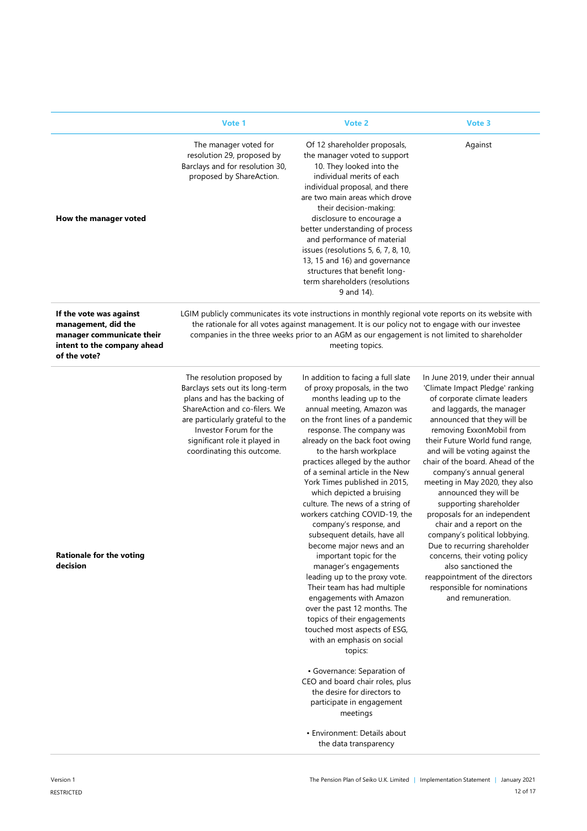|                                                                                                                            | Vote 1                                                                                                                                                                                                                                                      | Vote 2                                                                                                                                                                                                                                                                                                                                                                                                                                                                                                                                                                                                                                                                                                                                                                                                                                                                                                                                                                                                                                                 | Vote 3                                                                                                                                                                                                                                                                                                                                                                                                                                                                                                                                                                                                                                                                                            |
|----------------------------------------------------------------------------------------------------------------------------|-------------------------------------------------------------------------------------------------------------------------------------------------------------------------------------------------------------------------------------------------------------|--------------------------------------------------------------------------------------------------------------------------------------------------------------------------------------------------------------------------------------------------------------------------------------------------------------------------------------------------------------------------------------------------------------------------------------------------------------------------------------------------------------------------------------------------------------------------------------------------------------------------------------------------------------------------------------------------------------------------------------------------------------------------------------------------------------------------------------------------------------------------------------------------------------------------------------------------------------------------------------------------------------------------------------------------------|---------------------------------------------------------------------------------------------------------------------------------------------------------------------------------------------------------------------------------------------------------------------------------------------------------------------------------------------------------------------------------------------------------------------------------------------------------------------------------------------------------------------------------------------------------------------------------------------------------------------------------------------------------------------------------------------------|
| How the manager voted                                                                                                      | The manager voted for<br>resolution 29, proposed by<br>Barclays and for resolution 30,<br>proposed by ShareAction.                                                                                                                                          | Of 12 shareholder proposals,<br>the manager voted to support<br>10. They looked into the<br>individual merits of each<br>individual proposal, and there<br>are two main areas which drove<br>their decision-making:<br>disclosure to encourage a<br>better understanding of process<br>and performance of material<br>issues (resolutions 5, 6, 7, 8, 10,<br>13, 15 and 16) and governance<br>structures that benefit long-<br>term shareholders (resolutions<br>9 and 14).                                                                                                                                                                                                                                                                                                                                                                                                                                                                                                                                                                            | Against                                                                                                                                                                                                                                                                                                                                                                                                                                                                                                                                                                                                                                                                                           |
| If the vote was against<br>management, did the<br>manager communicate their<br>intent to the company ahead<br>of the vote? |                                                                                                                                                                                                                                                             | LGIM publicly communicates its vote instructions in monthly regional vote reports on its website with<br>the rationale for all votes against management. It is our policy not to engage with our investee<br>companies in the three weeks prior to an AGM as our engagement is not limited to shareholder<br>meeting topics.                                                                                                                                                                                                                                                                                                                                                                                                                                                                                                                                                                                                                                                                                                                           |                                                                                                                                                                                                                                                                                                                                                                                                                                                                                                                                                                                                                                                                                                   |
| <b>Rationale for the voting</b><br>decision                                                                                | The resolution proposed by<br>Barclays sets out its long-term<br>plans and has the backing of<br>ShareAction and co-filers. We<br>are particularly grateful to the<br>Investor Forum for the<br>significant role it played in<br>coordinating this outcome. | In addition to facing a full slate<br>of proxy proposals, in the two<br>months leading up to the<br>annual meeting, Amazon was<br>on the front lines of a pandemic<br>response. The company was<br>already on the back foot owing<br>to the harsh workplace<br>practices alleged by the author<br>of a seminal article in the New<br>York Times published in 2015,<br>which depicted a bruising<br>culture. The news of a string of<br>workers catching COVID-19, the<br>company's response, and<br>subsequent details, have all<br>become major news and an<br>important topic for the<br>manager's engagements<br>leading up to the proxy vote.<br>Their team has had multiple<br>engagements with Amazon<br>over the past 12 months. The<br>topics of their engagements<br>touched most aspects of ESG,<br>with an emphasis on social<br>topics:<br>• Governance: Separation of<br>CEO and board chair roles, plus<br>the desire for directors to<br>participate in engagement<br>meetings<br>• Environment: Details about<br>the data transparency | In June 2019, under their annual<br>'Climate Impact Pledge' ranking<br>of corporate climate leaders<br>and laggards, the manager<br>announced that they will be<br>removing ExxonMobil from<br>their Future World fund range,<br>and will be voting against the<br>chair of the board. Ahead of the<br>company's annual general<br>meeting in May 2020, they also<br>announced they will be<br>supporting shareholder<br>proposals for an independent<br>chair and a report on the<br>company's political lobbying.<br>Due to recurring shareholder<br>concerns, their voting policy<br>also sanctioned the<br>reappointment of the directors<br>responsible for nominations<br>and remuneration. |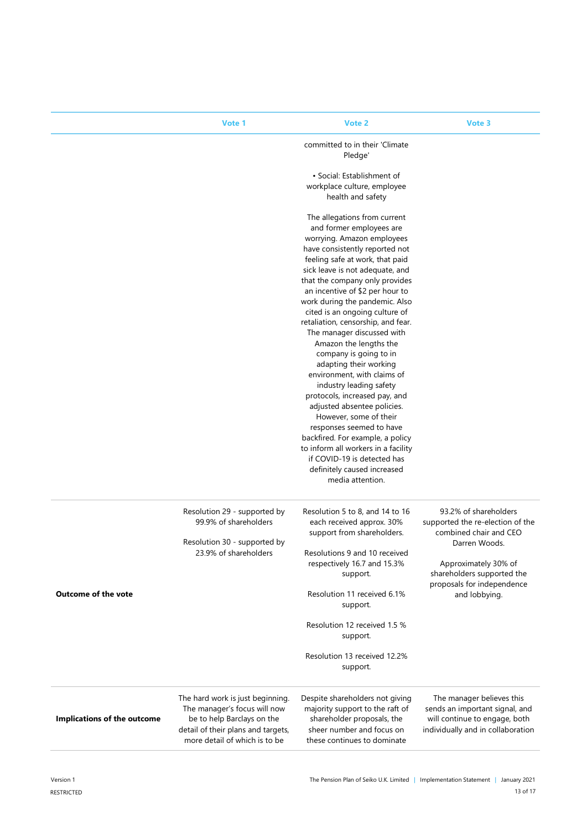|                                    | Vote 1                                                                                                                                                                | Vote 2                                                                                                                                                       | Vote 3                                                                                                                            |
|------------------------------------|-----------------------------------------------------------------------------------------------------------------------------------------------------------------------|--------------------------------------------------------------------------------------------------------------------------------------------------------------|-----------------------------------------------------------------------------------------------------------------------------------|
|                                    |                                                                                                                                                                       | committed to in their 'Climate<br>Pledge'                                                                                                                    |                                                                                                                                   |
|                                    |                                                                                                                                                                       | • Social: Establishment of                                                                                                                                   |                                                                                                                                   |
|                                    |                                                                                                                                                                       | workplace culture, employee                                                                                                                                  |                                                                                                                                   |
|                                    |                                                                                                                                                                       | health and safety                                                                                                                                            |                                                                                                                                   |
|                                    |                                                                                                                                                                       | The allegations from current                                                                                                                                 |                                                                                                                                   |
|                                    |                                                                                                                                                                       | and former employees are                                                                                                                                     |                                                                                                                                   |
|                                    |                                                                                                                                                                       | worrying. Amazon employees                                                                                                                                   |                                                                                                                                   |
|                                    |                                                                                                                                                                       | have consistently reported not<br>feeling safe at work, that paid                                                                                            |                                                                                                                                   |
|                                    |                                                                                                                                                                       | sick leave is not adequate, and                                                                                                                              |                                                                                                                                   |
|                                    |                                                                                                                                                                       | that the company only provides                                                                                                                               |                                                                                                                                   |
|                                    |                                                                                                                                                                       | an incentive of \$2 per hour to                                                                                                                              |                                                                                                                                   |
|                                    |                                                                                                                                                                       | work during the pandemic. Also<br>cited is an ongoing culture of                                                                                             |                                                                                                                                   |
|                                    |                                                                                                                                                                       | retaliation, censorship, and fear.                                                                                                                           |                                                                                                                                   |
|                                    |                                                                                                                                                                       | The manager discussed with                                                                                                                                   |                                                                                                                                   |
|                                    |                                                                                                                                                                       | Amazon the lengths the                                                                                                                                       |                                                                                                                                   |
|                                    |                                                                                                                                                                       | company is going to in<br>adapting their working                                                                                                             |                                                                                                                                   |
|                                    |                                                                                                                                                                       | environment, with claims of                                                                                                                                  |                                                                                                                                   |
|                                    |                                                                                                                                                                       | industry leading safety                                                                                                                                      |                                                                                                                                   |
|                                    |                                                                                                                                                                       | protocols, increased pay, and<br>adjusted absentee policies.                                                                                                 |                                                                                                                                   |
|                                    |                                                                                                                                                                       | However, some of their                                                                                                                                       |                                                                                                                                   |
|                                    |                                                                                                                                                                       | responses seemed to have                                                                                                                                     |                                                                                                                                   |
|                                    |                                                                                                                                                                       | backfired. For example, a policy                                                                                                                             |                                                                                                                                   |
|                                    |                                                                                                                                                                       | to inform all workers in a facility<br>if COVID-19 is detected has                                                                                           |                                                                                                                                   |
|                                    |                                                                                                                                                                       | definitely caused increased                                                                                                                                  |                                                                                                                                   |
|                                    |                                                                                                                                                                       | media attention.                                                                                                                                             |                                                                                                                                   |
|                                    | Resolution 29 - supported by<br>99.9% of shareholders                                                                                                                 | Resolution 5 to 8, and 14 to 16<br>each received approx. 30%<br>support from shareholders.                                                                   | 93.2% of shareholders<br>supported the re-election of the<br>combined chair and CEO                                               |
|                                    | Resolution 30 - supported by<br>23.9% of shareholders                                                                                                                 | Resolutions 9 and 10 received                                                                                                                                | Darren Woods.                                                                                                                     |
|                                    |                                                                                                                                                                       | respectively 16.7 and 15.3%<br>support.                                                                                                                      | Approximately 30% of<br>shareholders supported the                                                                                |
| <b>Outcome of the vote</b>         |                                                                                                                                                                       | Resolution 11 received 6.1%<br>support.                                                                                                                      | proposals for independence<br>and lobbying.                                                                                       |
|                                    |                                                                                                                                                                       | Resolution 12 received 1.5 %<br>support.                                                                                                                     |                                                                                                                                   |
|                                    |                                                                                                                                                                       | Resolution 13 received 12.2%<br>support.                                                                                                                     |                                                                                                                                   |
| <b>Implications of the outcome</b> | The hard work is just beginning.<br>The manager's focus will now<br>be to help Barclays on the<br>detail of their plans and targets,<br>more detail of which is to be | Despite shareholders not giving<br>majority support to the raft of<br>shareholder proposals, the<br>sheer number and focus on<br>these continues to dominate | The manager believes this<br>sends an important signal, and<br>will continue to engage, both<br>individually and in collaboration |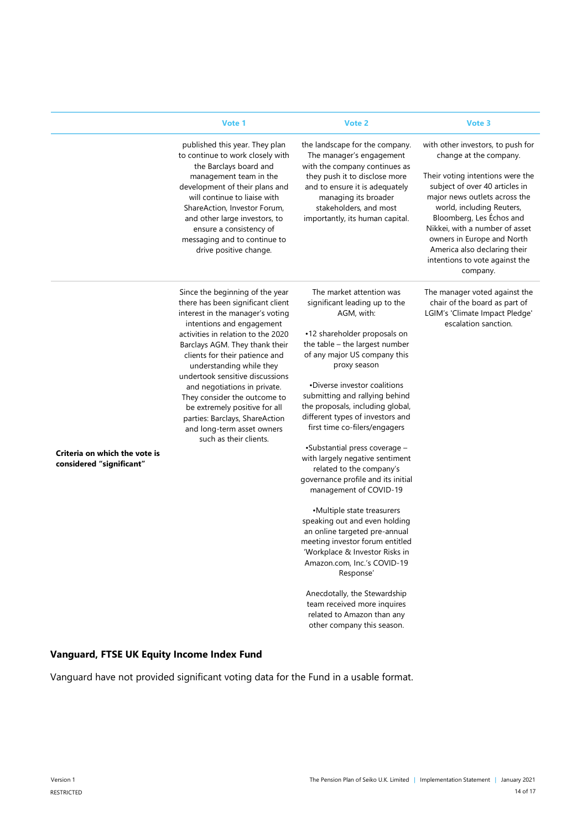|                               | Vote 1                                                                                                                                                                                                                                         | Vote 2                                                                                                                                               | Vote 3                                                                                                                                                                                                                                                                                         |
|-------------------------------|------------------------------------------------------------------------------------------------------------------------------------------------------------------------------------------------------------------------------------------------|------------------------------------------------------------------------------------------------------------------------------------------------------|------------------------------------------------------------------------------------------------------------------------------------------------------------------------------------------------------------------------------------------------------------------------------------------------|
|                               | published this year. They plan<br>to continue to work closely with<br>the Barclays board and                                                                                                                                                   | the landscape for the company.<br>The manager's engagement<br>with the company continues as                                                          | with other investors, to push for<br>change at the company.                                                                                                                                                                                                                                    |
|                               | management team in the<br>development of their plans and<br>will continue to liaise with<br>ShareAction, Investor Forum,<br>and other large investors, to<br>ensure a consistency of<br>messaging and to continue to<br>drive positive change. | they push it to disclose more<br>and to ensure it is adequately<br>managing its broader<br>stakeholders, and most<br>importantly, its human capital. | Their voting intentions were the<br>subject of over 40 articles in<br>major news outlets across the<br>world, including Reuters,<br>Bloomberg, Les Échos and<br>Nikkei, with a number of asset<br>owners in Europe and North<br>America also declaring their<br>intentions to vote against the |
|                               |                                                                                                                                                                                                                                                |                                                                                                                                                      | company.                                                                                                                                                                                                                                                                                       |
|                               | Since the beginning of the year<br>there has been significant client<br>interest in the manager's voting                                                                                                                                       | The market attention was<br>significant leading up to the<br>AGM, with:                                                                              | The manager voted against the<br>chair of the board as part of<br>LGIM's 'Climate Impact Pledge'<br>escalation sanction.                                                                                                                                                                       |
|                               | intentions and engagement<br>activities in relation to the 2020                                                                                                                                                                                | •12 shareholder proposals on                                                                                                                         |                                                                                                                                                                                                                                                                                                |
|                               | Barclays AGM. They thank their                                                                                                                                                                                                                 | the table - the largest number                                                                                                                       |                                                                                                                                                                                                                                                                                                |
|                               | clients for their patience and                                                                                                                                                                                                                 | of any major US company this                                                                                                                         |                                                                                                                                                                                                                                                                                                |
|                               | understanding while they<br>undertook sensitive discussions                                                                                                                                                                                    | proxy season                                                                                                                                         |                                                                                                                                                                                                                                                                                                |
|                               | and negotiations in private.                                                                                                                                                                                                                   | •Diverse investor coalitions                                                                                                                         |                                                                                                                                                                                                                                                                                                |
|                               | They consider the outcome to                                                                                                                                                                                                                   | submitting and rallying behind                                                                                                                       |                                                                                                                                                                                                                                                                                                |
|                               | be extremely positive for all                                                                                                                                                                                                                  | the proposals, including global,                                                                                                                     |                                                                                                                                                                                                                                                                                                |
|                               | parties: Barclays, ShareAction                                                                                                                                                                                                                 | different types of investors and                                                                                                                     |                                                                                                                                                                                                                                                                                                |
|                               | and long-term asset owners<br>such as their clients.                                                                                                                                                                                           | first time co-filers/engagers                                                                                                                        |                                                                                                                                                                                                                                                                                                |
|                               |                                                                                                                                                                                                                                                | •Substantial press coverage -                                                                                                                        |                                                                                                                                                                                                                                                                                                |
| Criteria on which the vote is |                                                                                                                                                                                                                                                | with largely negative sentiment                                                                                                                      |                                                                                                                                                                                                                                                                                                |
| considered "significant"      |                                                                                                                                                                                                                                                | related to the company's                                                                                                                             |                                                                                                                                                                                                                                                                                                |
|                               |                                                                                                                                                                                                                                                | governance profile and its initial                                                                                                                   |                                                                                                                                                                                                                                                                                                |
|                               |                                                                                                                                                                                                                                                | management of COVID-19                                                                                                                               |                                                                                                                                                                                                                                                                                                |
|                               |                                                                                                                                                                                                                                                | •Multiple state treasurers                                                                                                                           |                                                                                                                                                                                                                                                                                                |
|                               |                                                                                                                                                                                                                                                | speaking out and even holding                                                                                                                        |                                                                                                                                                                                                                                                                                                |
|                               |                                                                                                                                                                                                                                                | an online targeted pre-annual                                                                                                                        |                                                                                                                                                                                                                                                                                                |
|                               |                                                                                                                                                                                                                                                | meeting investor forum entitled                                                                                                                      |                                                                                                                                                                                                                                                                                                |
|                               |                                                                                                                                                                                                                                                | 'Workplace & Investor Risks in                                                                                                                       |                                                                                                                                                                                                                                                                                                |
|                               |                                                                                                                                                                                                                                                | Amazon.com, Inc.'s COVID-19<br>Response'                                                                                                             |                                                                                                                                                                                                                                                                                                |
|                               |                                                                                                                                                                                                                                                | Anecdotally, the Stewardship                                                                                                                         |                                                                                                                                                                                                                                                                                                |
|                               |                                                                                                                                                                                                                                                | team received more inquires                                                                                                                          |                                                                                                                                                                                                                                                                                                |
|                               |                                                                                                                                                                                                                                                | related to Amazon than any                                                                                                                           |                                                                                                                                                                                                                                                                                                |
|                               |                                                                                                                                                                                                                                                | other company this season.                                                                                                                           |                                                                                                                                                                                                                                                                                                |

## **Vanguard, FTSE UK Equity Income Index Fund**

Vanguard have not provided significant voting data for the Fund in a usable format.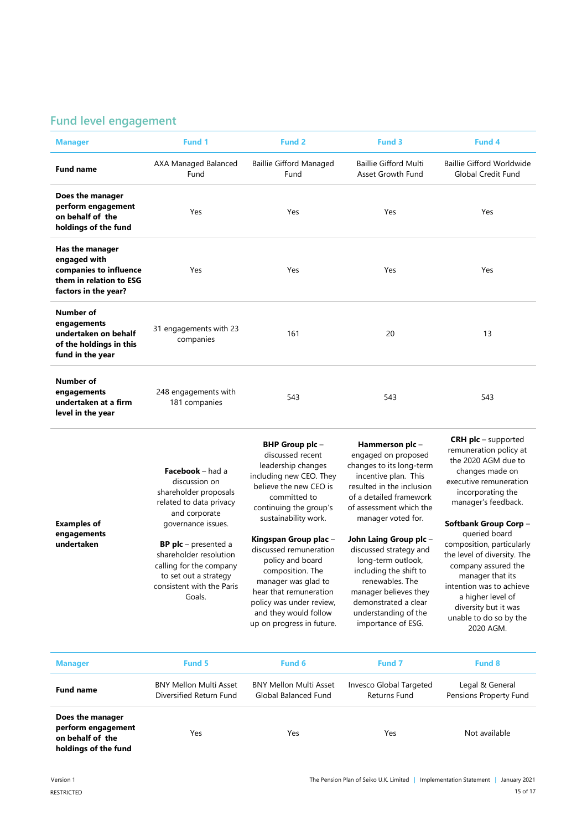# **Fund level engagement**

| <b>Manager</b>                                                                                               | Fund 1                                | Fund <sub>2</sub>                      | Fund 3                                            | Fund 4                                                        |
|--------------------------------------------------------------------------------------------------------------|---------------------------------------|----------------------------------------|---------------------------------------------------|---------------------------------------------------------------|
| <b>Fund name</b>                                                                                             | AXA Managed Balanced<br>Fund          | <b>Baillie Gifford Managed</b><br>Fund | <b>Baillie Gifford Multi</b><br>Asset Growth Fund | <b>Baillie Gifford Worldwide</b><br><b>Global Credit Fund</b> |
| Does the manager<br>perform engagement<br>on behalf of the<br>holdings of the fund                           | Yes                                   | Yes                                    | Yes                                               | Yes                                                           |
| Has the manager<br>engaged with<br>companies to influence<br>them in relation to ESG<br>factors in the year? | Yes                                   | Yes                                    | Yes                                               | Yes                                                           |
| Number of<br>engagements<br>undertaken on behalf<br>of the holdings in this<br>fund in the year              | 31 engagements with 23<br>companies   | 161                                    | 20                                                | 13                                                            |
| <b>Number of</b><br>engagements<br>undertaken at a firm<br>level in the year                                 | 248 engagements with<br>181 companies | 543                                    | 543                                               | 543                                                           |
|                                                                                                              |                                       | $DID$ $C2 = 0$                         | الملحب ويستخدمون والمستحدث                        | <b>CRH plc</b> – supported                                    |

| <b>Examples of</b>        | <b>Facebook</b> – had a<br>discussion on<br>shareholder proposals<br>related to data privacy<br>and corporate<br>governance issues.              | BHP Group plc -<br>discussed recent<br>leadership changes<br>including new CEO. They<br>believe the new CEO is<br>committed to<br>continuing the group's<br>sustainability work.                                           | Hammerson plc -<br>engaged on proposed<br>changes to its long-term<br>incentive plan. This<br>resulted in the inclusion<br>of a detailed framework<br>of assessment which the<br>manager voted for.                | <b>CRH plc</b> – supported<br>remuneration policy at<br>the 2020 AGM due to<br>changes made on<br>executive remuneration<br>incorporating the<br>manager's feedback.<br>Softbank Group Corp -                                        |
|---------------------------|--------------------------------------------------------------------------------------------------------------------------------------------------|----------------------------------------------------------------------------------------------------------------------------------------------------------------------------------------------------------------------------|--------------------------------------------------------------------------------------------------------------------------------------------------------------------------------------------------------------------|--------------------------------------------------------------------------------------------------------------------------------------------------------------------------------------------------------------------------------------|
| engagements<br>undertaken | <b>BP plc</b> – presented a<br>shareholder resolution<br>calling for the company<br>to set out a strategy<br>consistent with the Paris<br>Goals. | Kingspan Group plac -<br>discussed remuneration<br>policy and board<br>composition. The<br>manager was glad to<br>hear that remuneration<br>policy was under review,<br>and they would follow<br>up on progress in future. | John Laing Group plc -<br>discussed strategy and<br>long-term outlook,<br>including the shift to<br>renewables. The<br>manager believes they<br>demonstrated a clear<br>understanding of the<br>importance of ESG. | queried board<br>composition, particularly<br>the level of diversity. The<br>company assured the<br>manager that its<br>intention was to achieve<br>a higher level of<br>diversity but it was<br>unable to do so by the<br>2020 AGM. |

| <b>Manager</b>                                                                     | <b>Fund 5</b>                                            | Fund 6                                                | <b>Fund 7</b>                           | <b>Fund 8</b>                             |
|------------------------------------------------------------------------------------|----------------------------------------------------------|-------------------------------------------------------|-----------------------------------------|-------------------------------------------|
| <b>Fund name</b>                                                                   | <b>BNY Mellon Multi Asset</b><br>Diversified Return Fund | <b>BNY Mellon Multi Asset</b><br>Global Balanced Fund | Invesco Global Targeted<br>Returns Fund | Legal & General<br>Pensions Property Fund |
| Does the manager<br>perform engagement<br>on behalf of the<br>holdings of the fund | Yes                                                      | Yes                                                   | Yes                                     | Not available                             |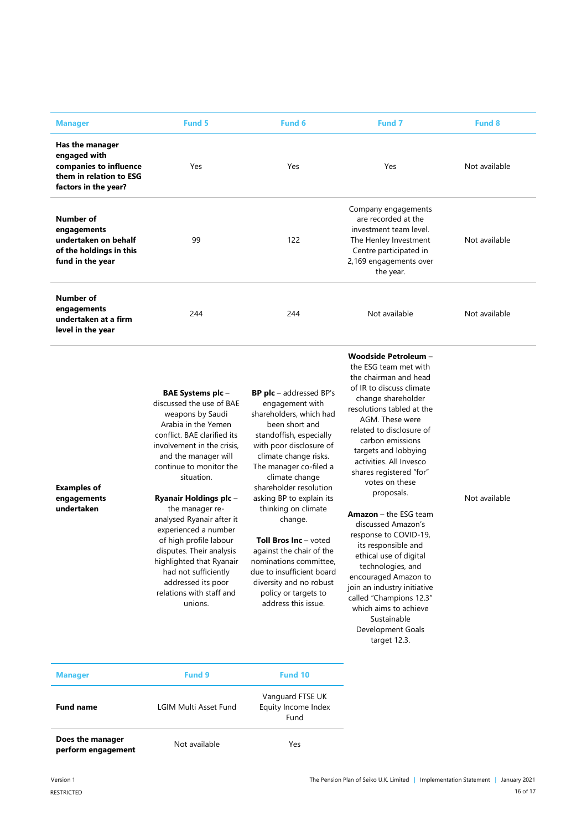| <b>Manager</b>                                                                                               | Fund 5                                                                                                                                                                                                                                                                                                                                                                                                                                                                                                       | <b>Fund 6</b>                                                                                                                                                                                                                                                                                                                                                                                                                                                                                                  | <b>Fund 7</b>                                                                                                                                                                                                                                                                                                                                                                                                                                                                                                                                                                                                                                              | <b>Fund 8</b> |
|--------------------------------------------------------------------------------------------------------------|--------------------------------------------------------------------------------------------------------------------------------------------------------------------------------------------------------------------------------------------------------------------------------------------------------------------------------------------------------------------------------------------------------------------------------------------------------------------------------------------------------------|----------------------------------------------------------------------------------------------------------------------------------------------------------------------------------------------------------------------------------------------------------------------------------------------------------------------------------------------------------------------------------------------------------------------------------------------------------------------------------------------------------------|------------------------------------------------------------------------------------------------------------------------------------------------------------------------------------------------------------------------------------------------------------------------------------------------------------------------------------------------------------------------------------------------------------------------------------------------------------------------------------------------------------------------------------------------------------------------------------------------------------------------------------------------------------|---------------|
| Has the manager<br>engaged with<br>companies to influence<br>them in relation to ESG<br>factors in the year? | Yes                                                                                                                                                                                                                                                                                                                                                                                                                                                                                                          | Yes                                                                                                                                                                                                                                                                                                                                                                                                                                                                                                            | Yes                                                                                                                                                                                                                                                                                                                                                                                                                                                                                                                                                                                                                                                        | Not available |
| Number of<br>engagements<br>undertaken on behalf<br>of the holdings in this<br>fund in the year              | 99                                                                                                                                                                                                                                                                                                                                                                                                                                                                                                           | 122                                                                                                                                                                                                                                                                                                                                                                                                                                                                                                            | Company engagements<br>are recorded at the<br>investment team level.<br>The Henley Investment<br>Centre participated in<br>2,169 engagements over<br>the year.                                                                                                                                                                                                                                                                                                                                                                                                                                                                                             | Not available |
| Number of<br>engagements<br>undertaken at a firm<br>level in the year                                        | 244                                                                                                                                                                                                                                                                                                                                                                                                                                                                                                          | 244                                                                                                                                                                                                                                                                                                                                                                                                                                                                                                            | Not available                                                                                                                                                                                                                                                                                                                                                                                                                                                                                                                                                                                                                                              | Not available |
| <b>Examples of</b><br>engagements<br>undertaken                                                              | <b>BAE Systems plc -</b><br>discussed the use of BAE<br>weapons by Saudi<br>Arabia in the Yemen<br>conflict. BAE clarified its<br>involvement in the crisis,<br>and the manager will<br>continue to monitor the<br>situation.<br><b>Ryanair Holdings plc-</b><br>the manager re-<br>analysed Ryanair after it<br>experienced a number<br>of high profile labour<br>disputes. Their analysis<br>highlighted that Ryanair<br>had not sufficiently<br>addressed its poor<br>relations with staff and<br>unions. | <b>BP plc</b> – addressed BP's<br>engagement with<br>shareholders, which had<br>been short and<br>standoffish, especially<br>with poor disclosure of<br>climate change risks.<br>The manager co-filed a<br>climate change<br>shareholder resolution<br>asking BP to explain its<br>thinking on climate<br>change.<br><b>Toll Bros Inc</b> - voted<br>against the chair of the<br>nominations committee,<br>due to insufficient board<br>diversity and no robust<br>policy or targets to<br>address this issue. | Woodside Petroleum -<br>the ESG team met with<br>the chairman and head<br>of IR to discuss climate<br>change shareholder<br>resolutions tabled at the<br>AGM. These were<br>related to disclosure of<br>carbon emissions<br>targets and lobbying<br>activities. All Invesco<br>shares registered "for"<br>votes on these<br>proposals.<br><b>Amazon</b> – the ESG team<br>discussed Amazon's<br>response to COVID-19,<br>its responsible and<br>ethical use of digital<br>technologies, and<br>encouraged Amazon to<br>join an industry initiative<br>called "Champions 12.3"<br>which aims to achieve<br>Sustainable<br>Development Goals<br>target 12.3. | Not available |
| Manager                                                                                                      | <b>Fund 9</b>                                                                                                                                                                                                                                                                                                                                                                                                                                                                                                | Fund 10                                                                                                                                                                                                                                                                                                                                                                                                                                                                                                        |                                                                                                                                                                                                                                                                                                                                                                                                                                                                                                                                                                                                                                                            |               |

| <b>Manager</b>                         | <b>Fund 9</b>         | Fund 10                                         |
|----------------------------------------|-----------------------|-------------------------------------------------|
| <b>Fund name</b>                       | LGIM Multi Asset Fund | Vanguard FTSE UK<br>Equity Income Index<br>Fund |
| Does the manager<br>perform engagement | Not available         | Yes                                             |